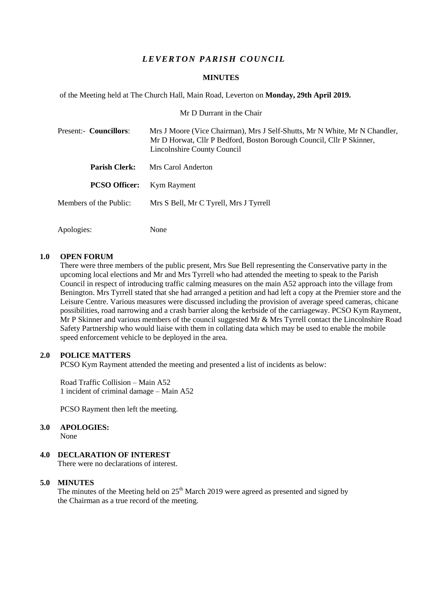# *L E VER T ON PARISH C OU NC IL*

#### **MINUTES**

of the Meeting held at The Church Hall, Main Road, Leverton on **Monday, 29th April 2019.**

Mr D Durrant in the Chair

| Present:- Councillors: | Mrs J Moore (Vice Chairman), Mrs J Self-Shutts, Mr N White, Mr N Chandler,<br>Mr D Horwat, Cllr P Bedford, Boston Borough Council, Cllr P Skinner,<br>Lincolnshire County Council |
|------------------------|-----------------------------------------------------------------------------------------------------------------------------------------------------------------------------------|
| <b>Parish Clerk:</b>   | Mrs Carol Anderton                                                                                                                                                                |
| <b>PCSO Officer:</b>   | Kym Rayment                                                                                                                                                                       |
| Members of the Public: | Mrs S Bell, Mr C Tyrell, Mrs J Tyrrell                                                                                                                                            |
|                        |                                                                                                                                                                                   |

#### **1.0 OPEN FORUM**

Apologies: None

There were three members of the public present, Mrs Sue Bell representing the Conservative party in the upcoming local elections and Mr and Mrs Tyrrell who had attended the meeting to speak to the Parish Council in respect of introducing traffic calming measures on the main A52 approach into the village from Benington. Mrs Tyrrell stated that she had arranged a petition and had left a copy at the Premier store and the Leisure Centre. Various measures were discussed including the provision of average speed cameras, chicane possibilities, road narrowing and a crash barrier along the kerbside of the carriageway. PCSO Kym Rayment, Mr P Skinner and various members of the council suggested Mr & Mrs Tyrrell contact the Lincolnshire Road Safety Partnership who would liaise with them in collating data which may be used to enable the mobile speed enforcement vehicle to be deployed in the area.

#### **2.0 POLICE MATTERS**

PCSO Kym Rayment attended the meeting and presented a list of incidents as below:

Road Traffic Collision – Main A52 1 incident of criminal damage – Main A52

PCSO Rayment then left the meeting.

## **3.0 APOLOGIES:**

None

# **4.0 DECLARATION OF INTEREST**

There were no declarations of interest.

#### **5.0 MINUTES**

The minutes of the Meeting held on  $25<sup>th</sup>$  March 2019 were agreed as presented and signed by the Chairman as a true record of the meeting.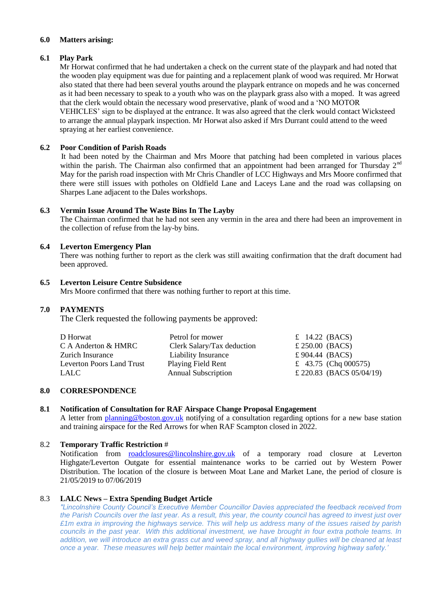## **6.0 Matters arising:**

# **6.1 Play Park**

Mr Horwat confirmed that he had undertaken a check on the current state of the playpark and had noted that the wooden play equipment was due for painting and a replacement plank of wood was required. Mr Horwat also stated that there had been several youths around the playpark entrance on mopeds and he was concerned as it had been necessary to speak to a youth who was on the playpark grass also with a moped. It was agreed that the clerk would obtain the necessary wood preservative, plank of wood and a 'NO MOTOR VEHICLES' sign to be displayed at the entrance. It was also agreed that the clerk would contact Wicksteed to arrange the annual playpark inspection. Mr Horwat also asked if Mrs Durrant could attend to the weed spraying at her earliest convenience.

# **6.2 Poor Condition of Parish Roads**

 It had been noted by the Chairman and Mrs Moore that patching had been completed in various places within the parish. The Chairman also confirmed that an appointment had been arranged for Thursday  $2<sup>nd</sup>$ May for the parish road inspection with Mr Chris Chandler of LCC Highways and Mrs Moore confirmed that there were still issues with potholes on Oldfield Lane and Laceys Lane and the road was collapsing on Sharpes Lane adjacent to the Dales workshops.

## **6.3 Vermin Issue Around The Waste Bins In The Layby**

The Chairman confirmed that he had not seen any vermin in the area and there had been an improvement in the collection of refuse from the lay-by bins.

## **6.4 Leverton Emergency Plan**

There was nothing further to report as the clerk was still awaiting confirmation that the draft document had been approved.

### **6.5 Leverton Leisure Centre Subsidence**

Mrs Moore confirmed that there was nothing further to report at this time.

# **7.0 PAYMENTS**

The Clerk requested the following payments be approved:

| D Horwat                  | Petrol for mower           | £ 14.22 (BACS)           |
|---------------------------|----------------------------|--------------------------|
| C A Anderton & HMRC       | Clerk Salary/Tax deduction | £ 250.00 (BACS)          |
| Zurich Insurance          | Liability Insurance        | £904.44 (BACS)           |
| Leverton Poors Land Trust | <b>Playing Field Rent</b>  | £ 43.75 (Chq 000575)     |
| LALC                      | <b>Annual Subscription</b> | £ 220.83 (BACS 05/04/19) |

### **8.0 CORRESPONDENCE**

# **8.1 Notification of Consultation for RAF Airspace Change Proposal Engagement**

A letter from [planning@boston.gov.uk](mailto:planning@boston.gov.uk) notifying of a consultation regarding options for a new base station and training airspace for the Red Arrows for when RAF Scampton closed in 2022.

# 8.2 **Temporary Traffic Restriction** #

Notification from [roadclosures@lincolnshire.gov.uk](mailto:roadclosures@lincolnshire.gov.uk) of a temporary road closure at Leverton Highgate/Leverton Outgate for essential maintenance works to be carried out by Western Power Distribution. The location of the closure is between Moat Lane and Market Lane, the period of closure is 21/05/2019 to 07/06/2019

# 8.3 **LALC News – Extra Spending Budget Article**

*"Lincolnshire County Council's Executive Member Councillor Davies appreciated the feedback received from the Parish Councils over the last year. As a result, this year, the county council has agreed to invest just over £1m extra in improving the highways service. This will help us address many of the issues raised by parish councils in the past year. With this additional investment, we have brought in four extra pothole teams. In addition, we will introduce an extra grass cut and weed spray, and all highway gullies will be cleaned at least once a year. These measures will help better maintain the local environment, improving highway safety.'*